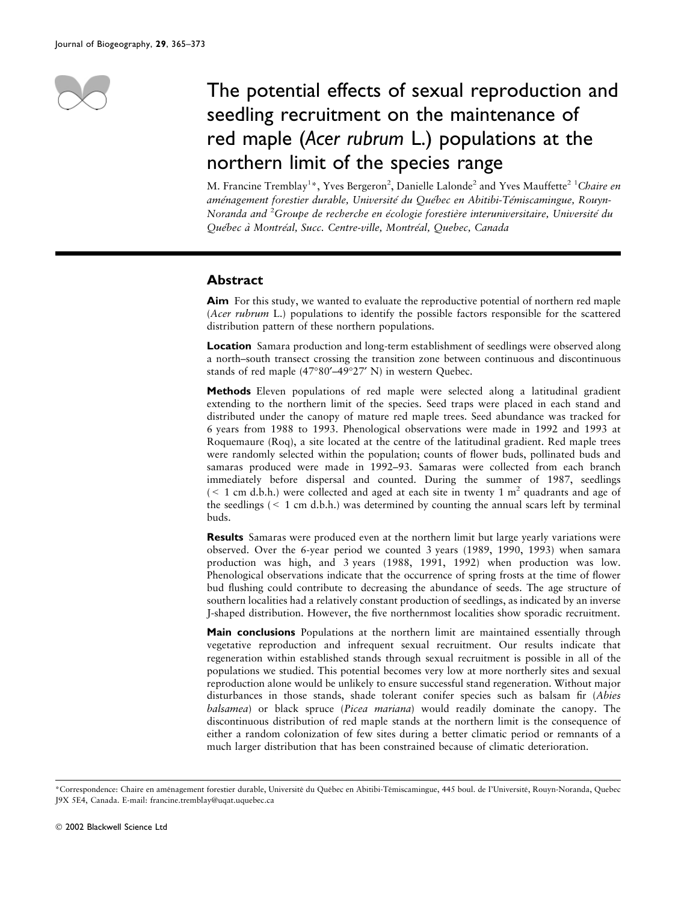

# The potential effects of sexual reproduction and seedling recruitment on the maintenance of red maple (Acer rubrum L.) populations at the northern limit of the species range

M. Francine Tremblay<sup>1</sup>\*, Yves Bergeron<sup>2</sup>, Danielle Lalonde<sup>2</sup> and Yves Mauffette<sup>2 1</sup>Chaire en aménagement forestier durable, Université du Québec en Abitibi-Témiscamingue, Rouyn-Noranda and <sup>2</sup>Groupe de recherche en écologie forestière interuniversitaire, Université du Québec à Montréal, Succ. Centre-ville, Montréal, Quebec, Canada

# Abstract

Aim For this study, we wanted to evaluate the reproductive potential of northern red maple (Acer rubrum L.) populations to identify the possible factors responsible for the scattered distribution pattern of these northern populations.

**Location** Samara production and long-term establishment of seedlings were observed along a north–south transect crossing the transition zone between continuous and discontinuous stands of red maple  $(47°80' - 49°27' N)$  in western Quebec.

Methods Eleven populations of red maple were selected along a latitudinal gradient extending to the northern limit of the species. Seed traps were placed in each stand and distributed under the canopy of mature red maple trees. Seed abundance was tracked for 6 years from 1988 to 1993. Phenological observations were made in 1992 and 1993 at Roquemaure (Roq), a site located at the centre of the latitudinal gradient. Red maple trees were randomly selected within the population; counts of flower buds, pollinated buds and samaras produced were made in 1992–93. Samaras were collected from each branch immediately before dispersal and counted. During the summer of 1987, seedlings ( $\leq 1$  cm d.b.h.) were collected and aged at each site in twenty 1 m<sup>2</sup> quadrants and age of the seedlings  $(< 1 \text{ cm d.b.h.})$  was determined by counting the annual scars left by terminal buds.

Results Samaras were produced even at the northern limit but large yearly variations were observed. Over the 6-year period we counted 3 years (1989, 1990, 1993) when samara production was high, and 3 years (1988, 1991, 1992) when production was low. Phenological observations indicate that the occurrence of spring frosts at the time of flower bud flushing could contribute to decreasing the abundance of seeds. The age structure of southern localities had a relatively constant production of seedlings, as indicated by an inverse J-shaped distribution. However, the five northernmost localities show sporadic recruitment.

Main conclusions Populations at the northern limit are maintained essentially through vegetative reproduction and infrequent sexual recruitment. Our results indicate that regeneration within established stands through sexual recruitment is possible in all of the populations we studied. This potential becomes very low at more northerly sites and sexual reproduction alone would be unlikely to ensure successful stand regeneration. Without major disturbances in those stands, shade tolerant conifer species such as balsam fir (Abies balsamea) or black spruce (Picea mariana) would readily dominate the canopy. The discontinuous distribution of red maple stands at the northern limit is the consequence of either a random colonization of few sites during a better climatic period or remnants of a much larger distribution that has been constrained because of climatic deterioration.

<sup>\*</sup>Correspondence: Chaire en aménagement forestier durable, Université du Québec en Abitibi-Témiscamingue, 445 boul. de l'Université, Rouyn-Noranda, Quebec J9X 5E4, Canada. E-mail: francine.tremblay@uqat.uquebec.ca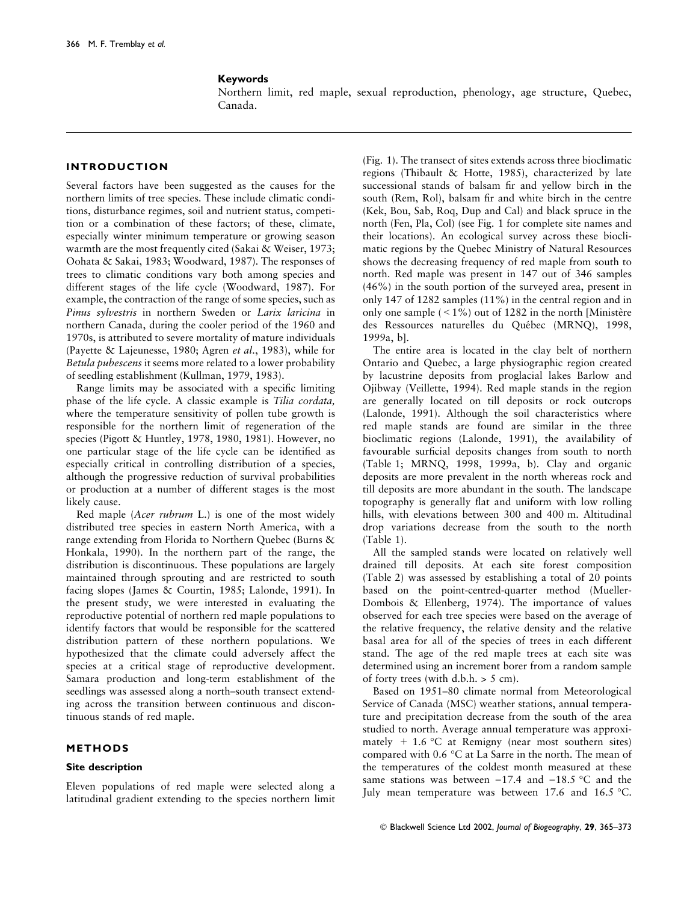## Keywords

Northern limit, red maple, sexual reproduction, phenology, age structure, Quebec, Canada.

# INTRODUCTION

Several factors have been suggested as the causes for the northern limits of tree species. These include climatic conditions, disturbance regimes, soil and nutrient status, competition or a combination of these factors; of these, climate, especially winter minimum temperature or growing season warmth are the most frequently cited (Sakai & Weiser, 1973; Oohata & Sakai, 1983; Woodward, 1987). The responses of trees to climatic conditions vary both among species and different stages of the life cycle (Woodward, 1987). For example, the contraction of the range of some species, such as Pinus sylvestris in northern Sweden or Larix laricina in northern Canada, during the cooler period of the 1960 and 1970s, is attributed to severe mortality of mature individuals (Payette & Lajeunesse, 1980; Agren et al., 1983), while for Betula pubescens it seems more related to a lower probability of seedling establishment (Kullman, 1979, 1983).

Range limits may be associated with a specific limiting phase of the life cycle. A classic example is Tilia cordata, where the temperature sensitivity of pollen tube growth is responsible for the northern limit of regeneration of the species (Pigott & Huntley, 1978, 1980, 1981). However, no one particular stage of the life cycle can be identified as especially critical in controlling distribution of a species, although the progressive reduction of survival probabilities or production at a number of different stages is the most likely cause.

Red maple (Acer rubrum L.) is one of the most widely distributed tree species in eastern North America, with a range extending from Florida to Northern Quebec (Burns & Honkala, 1990). In the northern part of the range, the distribution is discontinuous. These populations are largely maintained through sprouting and are restricted to south facing slopes (James & Courtin, 1985; Lalonde, 1991). In the present study, we were interested in evaluating the reproductive potential of northern red maple populations to identify factors that would be responsible for the scattered distribution pattern of these northern populations. We hypothesized that the climate could adversely affect the species at a critical stage of reproductive development. Samara production and long-term establishment of the seedlings was assessed along a north–south transect extending across the transition between continuous and discontinuous stands of red maple.

## METHODS

## Site description

Eleven populations of red maple were selected along a latitudinal gradient extending to the species northern limit (Fig. 1). The transect of sites extends across three bioclimatic regions (Thibault & Hotte, 1985), characterized by late successional stands of balsam fir and yellow birch in the south (Rem, Rol), balsam fir and white birch in the centre (Kek, Bou, Sab, Roq, Dup and Cal) and black spruce in the north (Fen, Pla, Col) (see Fig. 1 for complete site names and their locations). An ecological survey across these bioclimatic regions by the Quebec Ministry of Natural Resources shows the decreasing frequency of red maple from south to north. Red maple was present in 147 out of 346 samples (46%) in the south portion of the surveyed area, present in only 147 of 1282 samples (11%) in the central region and in only one sample  $(< 1\%)$  out of 1282 in the north [Ministère] des Ressources naturelles du Québec (MRNQ), 1998, 1999a, b].

The entire area is located in the clay belt of northern Ontario and Quebec, a large physiographic region created by lacustrine deposits from proglacial lakes Barlow and Ojibway (Veillette, 1994). Red maple stands in the region are generally located on till deposits or rock outcrops (Lalonde, 1991). Although the soil characteristics where red maple stands are found are similar in the three bioclimatic regions (Lalonde, 1991), the availability of favourable surficial deposits changes from south to north (Table 1; MRNQ, 1998, 1999a, b). Clay and organic deposits are more prevalent in the north whereas rock and till deposits are more abundant in the south. The landscape topography is generally flat and uniform with low rolling hills, with elevations between 300 and 400 m. Altitudinal drop variations decrease from the south to the north (Table 1).

All the sampled stands were located on relatively well drained till deposits. At each site forest composition (Table 2) was assessed by establishing a total of 20 points based on the point-centred-quarter method (Mueller-Dombois & Ellenberg, 1974). The importance of values observed for each tree species were based on the average of the relative frequency, the relative density and the relative basal area for all of the species of trees in each different stand. The age of the red maple trees at each site was determined using an increment borer from a random sample of forty trees (with  $d.b.h. > 5$  cm).

Based on 1951–80 climate normal from Meteorological Service of Canada (MSC) weather stations, annual temperature and precipitation decrease from the south of the area studied to north. Average annual temperature was approximately + 1.6 °C at Remigny (near most southern sites) compared with  $0.6 \text{ °C}$  at La Sarre in the north. The mean of the temperatures of the coldest month measured at these same stations was between  $-17.4$  and  $-18.5$  °C and the July mean temperature was between 17.6 and 16.5 °C.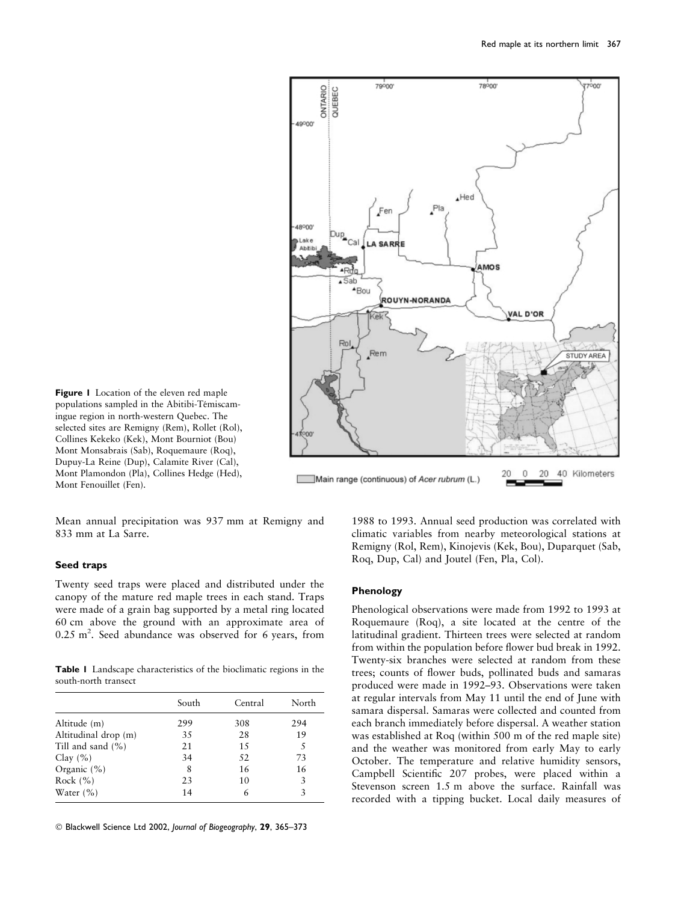

Figure 1 Location of the eleven red maple populations sampled in the Abitibi-Témiscamingue region in north-western Quebec. The selected sites are Remigny (Rem), Rollet (Rol), Collines Kekeko (Kek), Mont Bourniot (Bou) Mont Monsabrais (Sab), Roquemaure (Roq), Dupuy-La Reine (Dup), Calamite River (Cal), Mont Plamondon (Pla), Collines Hedge (Hed), Mont Fenouillet (Fen).

Mean annual precipitation was 937 mm at Remigny and 833 mm at La Sarre.

## Seed traps

Twenty seed traps were placed and distributed under the canopy of the mature red maple trees in each stand. Traps were made of a grain bag supported by a metal ring located 60 cm above the ground with an approximate area of  $0.25$  m<sup>2</sup>. Seed abundance was observed for 6 years, from

Table 1 Landscape characteristics of the bioclimatic regions in the south-north transect

|                       | South | Central | North |
|-----------------------|-------|---------|-------|
| Altitude (m)          | 299   | 308     | 294   |
| Altitudinal drop (m)  | 35    | 28      | 19    |
| Till and sand $(\% )$ | 21    | 15      | 5     |
| Clay $(\% )$          | 34    | 52      | 73    |
| Organic $(\% )$       | 8     | 16      | 16    |
| Rock $(\% )$          | 23    | 10      | 3     |
| Water $(\% )$         | 14    | 6       | 3     |

1988 to 1993. Annual seed production was correlated with climatic variables from nearby meteorological stations at Remigny (Rol, Rem), Kinojevis (Kek, Bou), Duparquet (Sab, Roq, Dup, Cal) and Joutel (Fen, Pla, Col).

## Phenology

Phenological observations were made from 1992 to 1993 at Roquemaure (Roq), a site located at the centre of the latitudinal gradient. Thirteen trees were selected at random from within the population before flower bud break in 1992. Twenty-six branches were selected at random from these trees; counts of flower buds, pollinated buds and samaras produced were made in 1992–93. Observations were taken at regular intervals from May 11 until the end of June with samara dispersal. Samaras were collected and counted from each branch immediately before dispersal. A weather station was established at Roq (within 500 m of the red maple site) and the weather was monitored from early May to early October. The temperature and relative humidity sensors, Campbell Scientific 207 probes, were placed within a Stevenson screen 1.5 m above the surface. Rainfall was recorded with a tipping bucket. Local daily measures of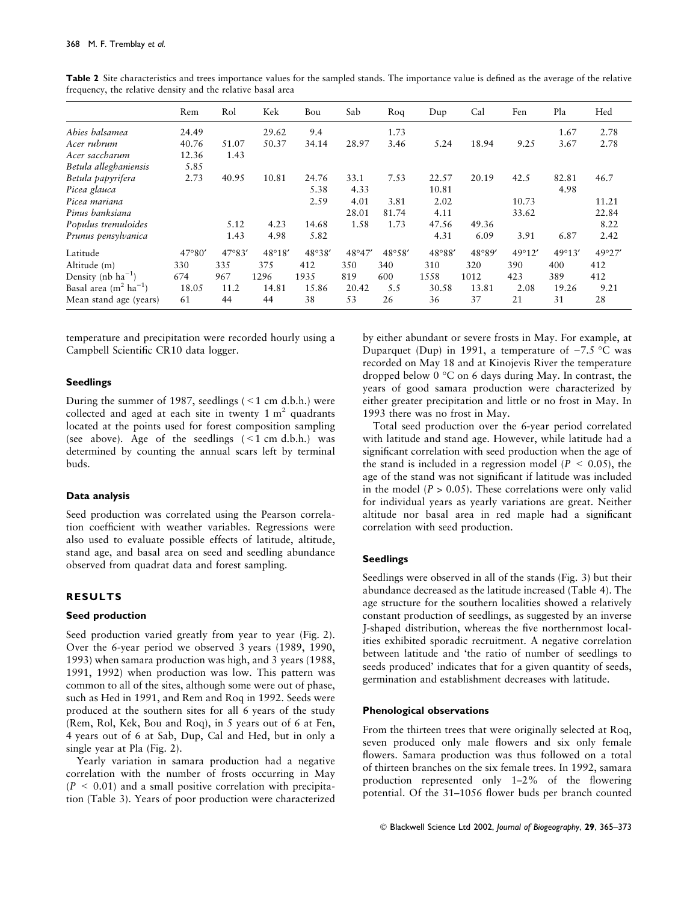|                                    | Rem    | Rol    | Kek             | Bou    | Sab    | Rog    | Dup    | Cal    | Fen    | Pla    | Hed    |
|------------------------------------|--------|--------|-----------------|--------|--------|--------|--------|--------|--------|--------|--------|
| Abies balsamea                     | 24.49  |        | 29.62           | 9.4    |        | 1.73   |        |        |        | 1.67   | 2.78   |
| Acer rubrum                        | 40.76  | 51.07  | 50.37           | 34.14  | 28.97  | 3.46   | 5.24   | 18.94  | 9.25   | 3.67   | 2.78   |
| Acer saccharum                     | 12.36  | 1.43   |                 |        |        |        |        |        |        |        |        |
| Betula alleghaniensis              | 5.85   |        |                 |        |        |        |        |        |        |        |        |
| Betula papyrifera                  | 2.73   | 40.95  | 10.81           | 24.76  | 33.1   | 7.53   | 22.57  | 20.19  | 42.5   | 82.81  | 46.7   |
| Picea glauca                       |        |        |                 | 5.38   | 4.33   |        | 10.81  |        |        | 4.98   |        |
| Picea mariana                      |        |        |                 | 2.59   | 4.01   | 3.81   | 2.02   |        | 10.73  |        | 11.21  |
| Pinus banksiana                    |        |        |                 |        | 28.01  | 81.74  | 4.11   |        | 33.62  |        | 22.84  |
| Populus tremuloides                |        | 5.12   | 4.23            | 14.68  | 1.58   | 1.73   | 47.56  | 49.36  |        |        | 8.22   |
| Prunus pensylvanica                |        | 1.43   | 4.98            | 5.82   |        |        | 4.31   | 6.09   | 3.91   | 6.87   | 2.42   |
| Latitude                           | 47°80' | 47°83' | $48^{\circ}18'$ | 48°38' | 48°47' | 48°58' | 48°88' | 48°89' | 49°12' | 49°13' | 49°27' |
| Altitude (m)                       | 330    | 335    | 375             | 412    | 350    | 340    | 310    | 320    | 390    | 400    | 412    |
| Density (nb $ha^{-1}$ )            | 674    | 967    | 1296            | 1935   | 819    | 600    | 1558   | 1012   | 423    | 389    | 412    |
| Basal area $(m^2 \text{ ha}^{-1})$ | 18.05  | 11.2   | 14.81           | 15.86  | 20.42  | 5.5    | 30.58  | 13.81  | 2.08   | 19.26  | 9.21   |
| Mean stand age (years)             | 61     | 44     | 44              | 38     | 53     | 26     | 36     | 37     | 21     | 31     | 28     |

Table 2 Site characteristics and trees importance values for the sampled stands. The importance value is defined as the average of the relative frequency, the relative density and the relative basal area

temperature and precipitation were recorded hourly using a Campbell Scientific CR10 data logger.

### Seedlings

During the summer of 1987, seedlings  $($  < 1 cm d.b.h.) were collected and aged at each site in twenty  $1 \text{ m}^2$  quadrants located at the points used for forest composition sampling (see above). Age of the seedlings  $(< 1 \text{ cm d.b.h.})$  was determined by counting the annual scars left by terminal buds.

#### Data analysis

Seed production was correlated using the Pearson correlation coefficient with weather variables. Regressions were also used to evaluate possible effects of latitude, altitude, stand age, and basal area on seed and seedling abundance observed from quadrat data and forest sampling.

## RESULTS

## Seed production

Seed production varied greatly from year to year (Fig. 2). Over the 6-year period we observed 3 years (1989, 1990, 1993) when samara production was high, and 3 years (1988, 1991, 1992) when production was low. This pattern was common to all of the sites, although some were out of phase, such as Hed in 1991, and Rem and Roq in 1992. Seeds were produced at the southern sites for all 6 years of the study (Rem, Rol, Kek, Bou and Roq), in 5 years out of 6 at Fen, 4 years out of 6 at Sab, Dup, Cal and Hed, but in only a single year at Pla (Fig. 2).

Yearly variation in samara production had a negative correlation with the number of frosts occurring in May  $(P < 0.01)$  and a small positive correlation with precipitation (Table 3). Years of poor production were characterized

by either abundant or severe frosts in May. For example, at Duparquet (Dup) in 1991, a temperature of  $-7.5$  °C was recorded on May 18 and at Kinojevis River the temperature dropped below  $0^{\circ}$ C on 6 days during May. In contrast, the years of good samara production were characterized by either greater precipitation and little or no frost in May. In 1993 there was no frost in May.

Total seed production over the 6-year period correlated with latitude and stand age. However, while latitude had a significant correlation with seed production when the age of the stand is included in a regression model ( $P < 0.05$ ), the age of the stand was not significant if latitude was included in the model  $(P > 0.05)$ . These correlations were only valid for individual years as yearly variations are great. Neither altitude nor basal area in red maple had a significant correlation with seed production.

## Seedlings

Seedlings were observed in all of the stands (Fig. 3) but their abundance decreased as the latitude increased (Table 4). The age structure for the southern localities showed a relatively constant production of seedlings, as suggested by an inverse J-shaped distribution, whereas the five northernmost localities exhibited sporadic recruitment. A negative correlation between latitude and 'the ratio of number of seedlings to seeds produced' indicates that for a given quantity of seeds, germination and establishment decreases with latitude.

#### Phenological observations

From the thirteen trees that were originally selected at Roq, seven produced only male flowers and six only female flowers. Samara production was thus followed on a total of thirteen branches on the six female trees. In 1992, samara production represented only 1–2% of the flowering potential. Of the 31–1056 flower buds per branch counted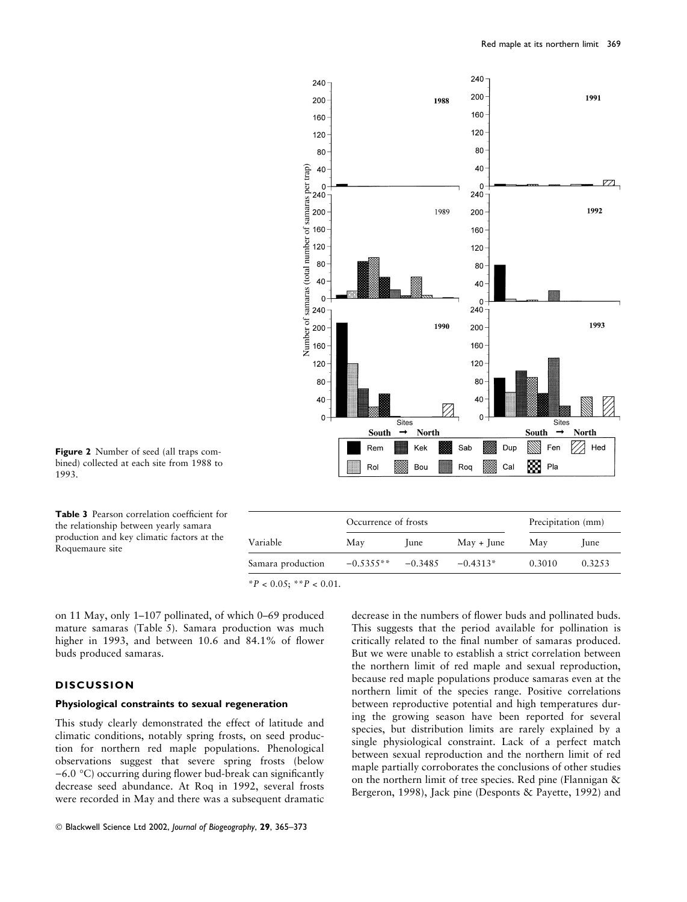

Figure 2 Number of seed (all traps combined) collected at each site from 1988 to 1993.

Table 3 Pearson correlation coefficient for the relationship between yearly samara production and key climatic factors at the Roquemaure site

|                   | Occurrence of frosts |           | Precipitation (mm)         |        |             |  |
|-------------------|----------------------|-----------|----------------------------|--------|-------------|--|
| Variable          | May                  | lune      | $\text{May} + \text{June}$ | May    | <i>lune</i> |  |
| Samara production | $-0.5355**$          | $-0.3485$ | $-0.4313*$                 | 0.3010 | 0.32.53     |  |

 $*P < 0.05$ ;  $*P < 0.01$ .

on 11 May, only 1–107 pollinated, of which 0–69 produced mature samaras (Table 5). Samara production was much higher in 1993, and between 10.6 and 84.1% of flower buds produced samaras.

## **DISCUSSION**

### Physiological constraints to sexual regeneration

This study clearly demonstrated the effect of latitude and climatic conditions, notably spring frosts, on seed production for northern red maple populations. Phenological observations suggest that severe spring frosts (below  $-6.0$  °C) occurring during flower bud-break can significantly decrease seed abundance. At Roq in 1992, several frosts were recorded in May and there was a subsequent dramatic

decrease in the numbers of flower buds and pollinated buds. This suggests that the period available for pollination is critically related to the final number of samaras produced. But we were unable to establish a strict correlation between the northern limit of red maple and sexual reproduction, because red maple populations produce samaras even at the northern limit of the species range. Positive correlations between reproductive potential and high temperatures during the growing season have been reported for several species, but distribution limits are rarely explained by a single physiological constraint. Lack of a perfect match between sexual reproduction and the northern limit of red maple partially corroborates the conclusions of other studies on the northern limit of tree species. Red pine (Flannigan & Bergeron, 1998), Jack pine (Desponts & Payette, 1992) and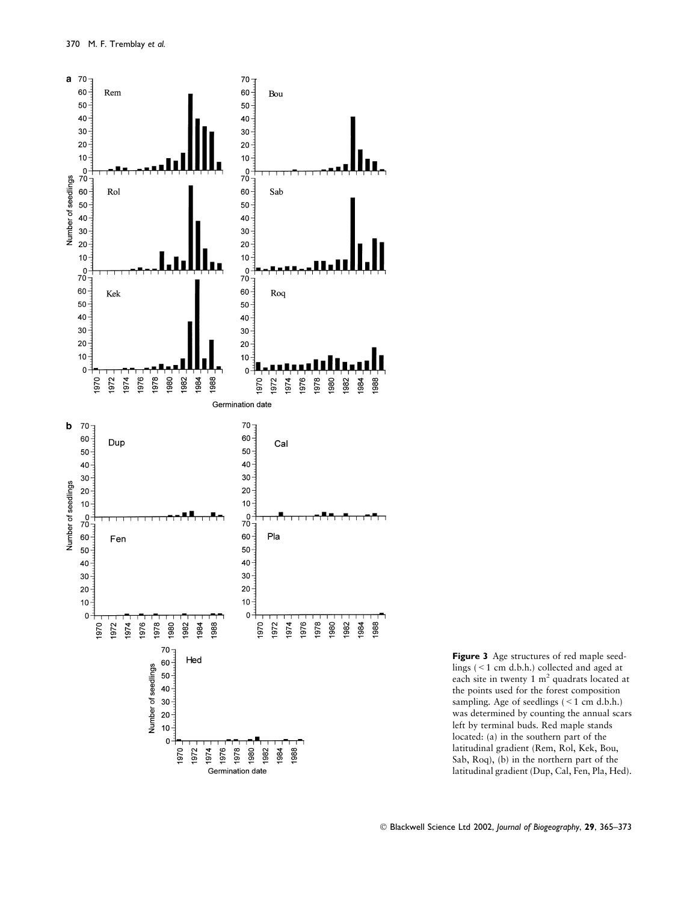

Figure 3 Age structures of red maple seedlings (<1 cm d.b.h.) collected and aged at each site in twenty 1  $m<sup>2</sup>$  quadrats located at the points used for the forest composition sampling. Age of seedlings  $(< 1$  cm d.b.h.) was determined by counting the annual scars left by terminal buds. Red maple stands located: (a) in the southern part of the latitudinal gradient (Rem, Rol, Kek, Bou, Sab, Roq), (b) in the northern part of the latitudinal gradient (Dup, Cal, Fen, Pla, Hed).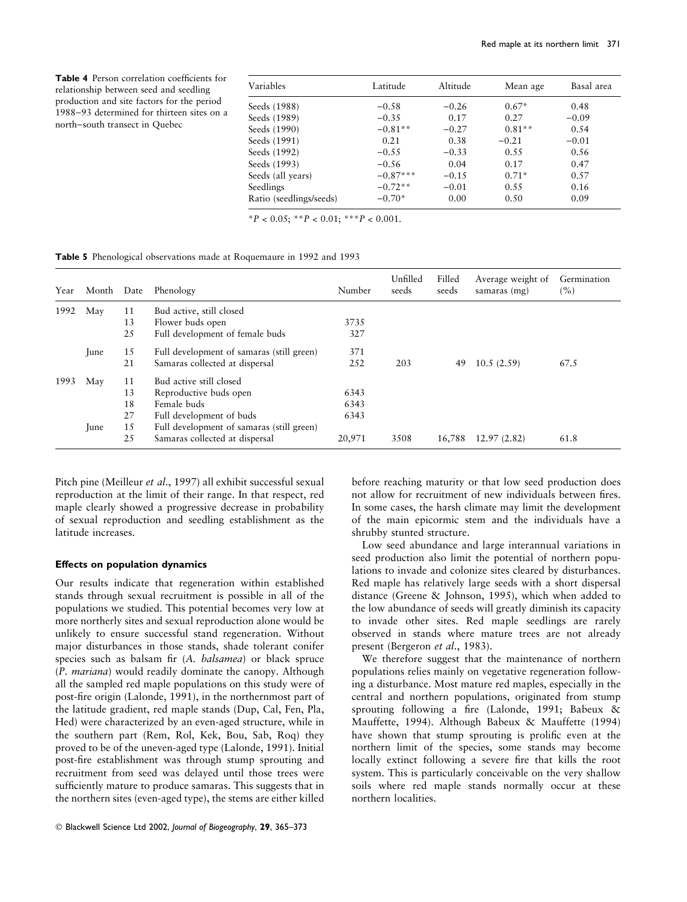Table 4 Person correlation coefficients for relationship between seed and seedling production and site factors for the period 1988-93 determined for thirteen sites on a north-south transect in Quebec

| Latitude   | Altitude | Mean age | Basal area |
|------------|----------|----------|------------|
| $-0.58$    | $-0.26$  | $0.67*$  | 0.48       |
| $-0.35$    | 0.17     | 0.27     | $-0.09$    |
| $-0.81**$  | $-0.27$  | $0.81**$ | 0.54       |
| 0.21       | 0.38     | $-0.21$  | $-0.01$    |
| $-0.55$    | $-0.33$  | 0.55     | 0.56       |
| $-0.56$    | 0.04     | 0.17     | 0.47       |
| $-0.87***$ | $-0.15$  | $0.71*$  | 0.57       |
| $-0.72**$  | $-0.01$  | 0.55     | 0.16       |
| $-0.70*$   | 0.00     | 0.50     | 0.09       |
|            |          |          |            |

 $*P < 0.05$ ;  $*P < 0.01$ ;  $**P < 0.001$ .

Table 5 Phenological observations made at Roquemaure in 1992 and 1993

| Year | Month | Date | Phenology                                 | Number | Unfilled<br>seeds | Filled<br>seeds | Average weight of<br>samaras (mg) | Germination<br>(%) |
|------|-------|------|-------------------------------------------|--------|-------------------|-----------------|-----------------------------------|--------------------|
| 1992 | May   | 11   | Bud active, still closed                  |        |                   |                 |                                   |                    |
|      |       | 13   | Flower buds open                          | 3735   |                   |                 |                                   |                    |
|      |       | 25   | Full development of female buds           | 327    |                   |                 |                                   |                    |
|      | June  | 15   | Full development of samaras (still green) | 371    |                   |                 |                                   |                    |
|      |       | 21   | Samaras collected at dispersal            | 252    | 203               | 49              | 10.5(2.59)                        | 67.5               |
| 1993 | May   | 11   | Bud active still closed                   |        |                   |                 |                                   |                    |
|      |       | 13   | Reproductive buds open                    | 6343   |                   |                 |                                   |                    |
|      |       | 18   | Female buds                               | 6343   |                   |                 |                                   |                    |
|      |       | 27   | Full development of buds                  | 6343   |                   |                 |                                   |                    |
|      | June  | 15   | Full development of samaras (still green) |        |                   |                 |                                   |                    |
|      |       | 25   | Samaras collected at dispersal            | 20,971 | 3508              | 16,788          | 12.97(2.82)                       | 61.8               |

Pitch pine (Meilleur et al., 1997) all exhibit successful sexual reproduction at the limit of their range. In that respect, red maple clearly showed a progressive decrease in probability of sexual reproduction and seedling establishment as the latitude increases.

#### Effects on population dynamics

Our results indicate that regeneration within established stands through sexual recruitment is possible in all of the populations we studied. This potential becomes very low at more northerly sites and sexual reproduction alone would be unlikely to ensure successful stand regeneration. Without major disturbances in those stands, shade tolerant conifer species such as balsam fir (A. balsamea) or black spruce (P. mariana) would readily dominate the canopy. Although all the sampled red maple populations on this study were of post-fire origin (Lalonde, 1991), in the northernmost part of the latitude gradient, red maple stands (Dup, Cal, Fen, Pla, Hed) were characterized by an even-aged structure, while in the southern part (Rem, Rol, Kek, Bou, Sab, Roq) they proved to be of the uneven-aged type (Lalonde, 1991). Initial post-fire establishment was through stump sprouting and recruitment from seed was delayed until those trees were sufficiently mature to produce samaras. This suggests that in the northern sites (even-aged type), the stems are either killed before reaching maturity or that low seed production does not allow for recruitment of new individuals between fires. In some cases, the harsh climate may limit the development of the main epicormic stem and the individuals have a shrubby stunted structure.

Low seed abundance and large interannual variations in seed production also limit the potential of northern populations to invade and colonize sites cleared by disturbances. Red maple has relatively large seeds with a short dispersal distance (Greene & Johnson, 1995), which when added to the low abundance of seeds will greatly diminish its capacity to invade other sites. Red maple seedlings are rarely observed in stands where mature trees are not already present (Bergeron et al., 1983).

We therefore suggest that the maintenance of northern populations relies mainly on vegetative regeneration following a disturbance. Most mature red maples, especially in the central and northern populations, originated from stump sprouting following a fire (Lalonde, 1991; Babeux & Mauffette, 1994). Although Babeux & Mauffette (1994) have shown that stump sprouting is prolific even at the northern limit of the species, some stands may become locally extinct following a severe fire that kills the root system. This is particularly conceivable on the very shallow soils where red maple stands normally occur at these northern localities.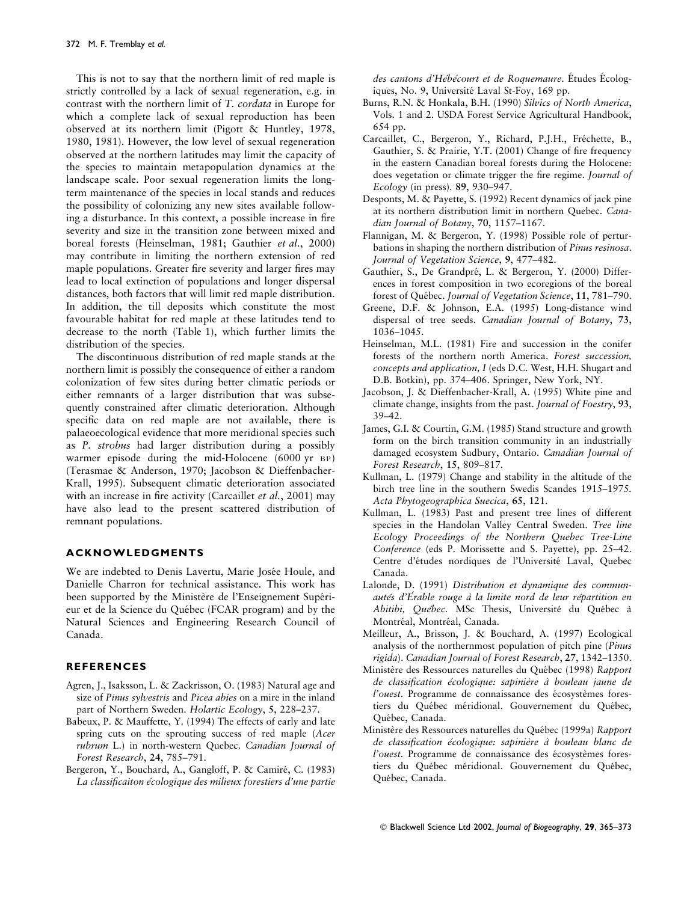This is not to say that the northern limit of red maple is strictly controlled by a lack of sexual regeneration, e.g. in contrast with the northern limit of T. cordata in Europe for which a complete lack of sexual reproduction has been observed at its northern limit (Pigott & Huntley, 1978, 1980, 1981). However, the low level of sexual regeneration observed at the northern latitudes may limit the capacity of the species to maintain metapopulation dynamics at the landscape scale. Poor sexual regeneration limits the longterm maintenance of the species in local stands and reduces the possibility of colonizing any new sites available following a disturbance. In this context, a possible increase in fire severity and size in the transition zone between mixed and boreal forests (Heinselman, 1981; Gauthier et al., 2000) may contribute in limiting the northern extension of red maple populations. Greater fire severity and larger fires may lead to local extinction of populations and longer dispersal distances, both factors that will limit red maple distribution. In addition, the till deposits which constitute the most favourable habitat for red maple at these latitudes tend to decrease to the north (Table 1), which further limits the distribution of the species.

The discontinuous distribution of red maple stands at the northern limit is possibly the consequence of either a random colonization of few sites during better climatic periods or either remnants of a larger distribution that was subsequently constrained after climatic deterioration. Although specific data on red maple are not available, there is palaeoecological evidence that more meridional species such as P. strobus had larger distribution during a possibly warmer episode during the mid-Holocene (6000 yr BP) (Terasmae & Anderson, 1970; Jacobson & Dieffenbacher-Krall, 1995). Subsequent climatic deterioration associated with an increase in fire activity (Carcaillet et al., 2001) may have also lead to the present scattered distribution of remnant populations.

## ACKNOWLEDGMENTS

We are indebted to Denis Lavertu, Marie Josée Houle, and Danielle Charron for technical assistance. This work has been supported by the Ministère de l'Enseignement Supérieur et de la Science du Québec (FCAR program) and by the Natural Sciences and Engineering Research Council of Canada.

## REFERENCES

- Agren, J., Isaksson, L. & Zackrisson, O. (1983) Natural age and size of Pinus sylvestris and Picea abies on a mire in the inland part of Northern Sweden. Holartic Ecology, 5, 228–237.
- Babeux, P. & Mauffette, Y. (1994) The effects of early and late spring cuts on the sprouting success of red maple (Acer rubrum L.) in north-western Quebec. Canadian Journal of Forest Research, 24, 785–791.
- Bergeron, Y., Bouchard, A., Gangloff, P. & Camiré, C. (1983) La classificaiton écologique des milieux forestiers d'une partie

des cantons d'Hébécourt et de Roquemaure. Études Écologiques, No. 9, Université Laval St-Foy, 169 pp.

- Burns, R.N. & Honkala, B.H. (1990) Silvics of North America, Vols. 1 and 2. USDA Forest Service Agricultural Handbook, 654 pp.
- Carcaillet, C., Bergeron, Y., Richard, P.J.H., Fréchette, B., Gauthier, S. & Prairie, Y.T. (2001) Change of fire frequency in the eastern Canadian boreal forests during the Holocene: does vegetation or climate trigger the fire regime. Journal of Ecology (in press). 89, 930–947.
- Desponts, M. & Payette, S. (1992) Recent dynamics of jack pine at its northern distribution limit in northern Quebec. Canadian Journal of Botany, 70, 1157–1167.
- Flannigan, M. & Bergeron, Y. (1998) Possible role of perturbations in shaping the northern distribution of Pinus resinosa. Journal of Vegetation Science, 9, 477–482.
- Gauthier, S., De Grandpré, L. & Bergeron, Y. (2000) Differences in forest composition in two ecoregions of the boreal forest of Québec. Journal of Vegetation Science, 11, 781-790.
- Greene, D.F. & Johnson, E.A. (1995) Long-distance wind dispersal of tree seeds. Canadian Journal of Botany, 73, 1036–1045.
- Heinselman, M.L. (1981) Fire and succession in the conifer forests of the northern north America. Forest succession, concepts and application, I (eds D.C. West, H.H. Shugart and D.B. Botkin), pp. 374–406. Springer, New York, NY.
- Jacobson, J. & Dieffenbacher-Krall, A. (1995) White pine and climate change, insights from the past. Journal of Foestry, 93, 39–42.
- James, G.I. & Courtin, G.M. (1985) Stand structure and growth form on the birch transition community in an industrially damaged ecosystem Sudbury, Ontario. Canadian Journal of Forest Research, 15, 809–817.
- Kullman, L. (1979) Change and stability in the altitude of the birch tree line in the southern Swedis Scandes 1915–1975. Acta Phytogeographica Suecica, 65, 121.
- Kullman, L. (1983) Past and present tree lines of different species in the Handolan Valley Central Sweden. Tree line Ecology Proceedings of the Northern Quebec Tree-Line Conference (eds P. Morissette and S. Payette), pp. 25–42. Centre d'études nordiques de l'Université Laval, Quebec Canada.
- Lalonde, D. (1991) Distribution et dynamique des communautés d'Érable rouge à la limite nord de leur répartition en Abitibi, Québec. MSc Thesis, Université du Québec à Montréal, Montréal, Canada.
- Meilleur, A., Brisson, J. & Bouchard, A. (1997) Ecological analysis of the northernmost population of pitch pine (Pinus rigida). Canadian Journal of Forest Research, 27, 1342–1350.
- Ministère des Ressources naturelles du Québec (1998) Rapport de classification écologique: sapinière à bouleau jaune de l'ouest. Programme de connaissance des écosystèmes forestiers du Québec méridional. Gouvernement du Québec, Québec, Canada.
- Ministère des Ressources naturelles du Québec (1999a) Rapport de classification écologique: sapinière à bouleau blanc de l'ouest. Programme de connaissance des écosystèmes forestiers du Québec méridional. Gouvernement du Québec, Québec, Canada.